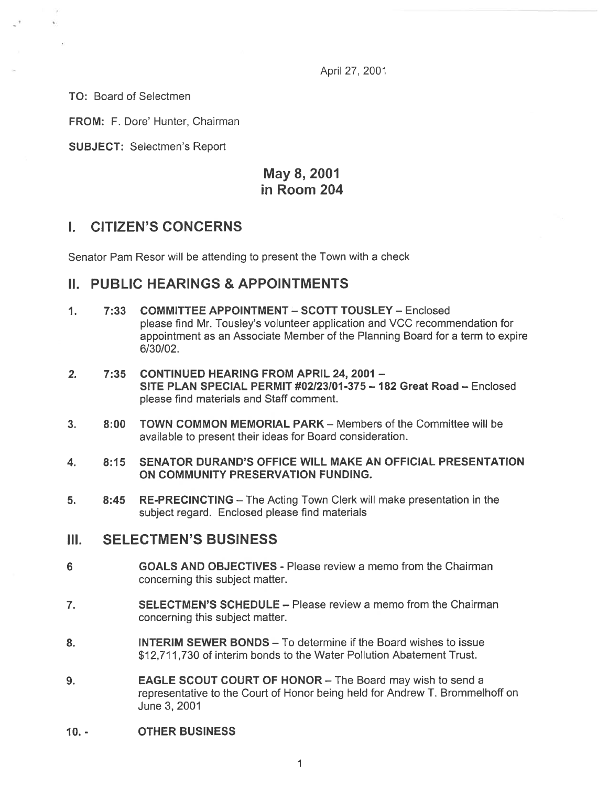April 27, 2001

TO: Board of Selectmen

FROM: F. Dore' Hunter, Chairman

SUBJECT: Selectmen's Report

## May 8, 2001 in Room 204

### I. CITIZEN'S CONCERNS

Senator Pam Resor will be attending to presen<sup>t</sup> the Town with <sup>a</sup> check

### II. PUBLIC HEARINGS & APPOINTMENTS

- 1. 7:33 COMMITTEE APPOINTMENT SCOTT TOUSLEY Enclosed please find Mr. Tousley's volunteer application and VCC recommendation for appointment as an Associate Member of the Planning Board for <sup>a</sup> term to expire 6/30/02.
- 2. 7:35 CONTINUED HEARING FROM APRIL 24, 2001 SITE PLAN SPECIAL PERMIT #02/23/01-375 — 182 Great Road — Enclosed please find materials and Staff comment.
- 3. 8:00 TOWN COMMON MEMORIAL PARK Members of the Committee will be available to presen<sup>t</sup> their ideas for Board consideration.
- 4. 8:15 SENATOR DURAND'S OFFICE WILL MAKE AN OFFICIAL PRESENTATION ON COMMUNITY PRESERVATION FUNDING.
- 5. 8:45 RE-PRECINCTING The Acting Town Clerk will make presentation in the subject regard. Enclosed please find materials

### III. SELECTMEN'S BUSINESS

- 6 GOALS AND OBJECTIVES Please review <sup>a</sup> memo from the Chairman concerning this subject matter.
- 7. SELECTMEN'S SCHEDULE Please review <sup>a</sup> memo from the Chairman concerning this subject matter.
- 8. INTERIM SEWER BONDS To determine if the Board wishes to issue \$12,711,730 of interim bonds to the Water Pollution Abatement Trust.
- 9. EAGLE SCOUT COURT OF HONOR The Board may wish to send <sup>a</sup> representative to the Court of Honor being held for Andrew T. Brommelhoff on June 3, 2001
- JO. OTHER BUSINESS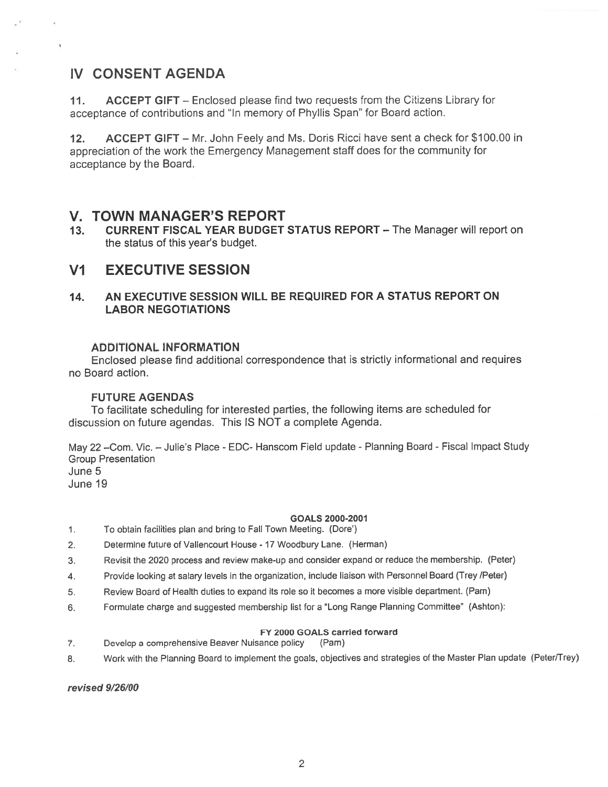## IV CONSENT AGENDA

11. ACCEPT GIFT – Enclosed please find two requests from the Citizens Library for acceptance of contributions and "In memory of Phyllis Span" for Board action.

12. ACCEPT GIFT — Mr. John Feely and Ms. Doris Ricci have sent <sup>a</sup> check for \$100.00 in appreciation of the work the Emergency Management staff does for the community for acceptance by the Board.

### V. TOWN MANAGER'S REPORT

13. CURRENT FISCAL YEAR BUDGET STATUS REPORT - The Manager will report on the status of this year's budget.

### VI EXECUTIVE SESSION

### 14. AN EXECUTIVE SESSION WILL BE REQUIRED FOR A STATUS REPORT ON LABOR NEGOTIATIONS

#### ADDITIONAL INFORMATION

Enclosed please find additional correspondence that is strictly informational and requires no Board action.

#### FUTURE AGENDAS

To facilitate scheduling for interested parties, the following items are scheduled for discussion on future agendas. This IS NOT <sup>a</sup> complete Agenda.

May 22 -Com. Vic. - Julie's Place - EDC- Hanscom Field update - Planning Board - Fiscal Impact Study Group Presentation June 5 June 19

#### GOALS 2000-2001

- 1. To obtain facilities plan and bring to Fall Town Meeting. (Dote')
- 2. Determine future of Vallencourt House <sup>17</sup> Woodbury Lane. (Herman)
- 3. Revisit the <sup>2020</sup> process and review make-up and consider expand or reduce the membership. (Peter)
- 4. Provide looking at salary levels in the organization, include liaison with Personnel Board (Trey /Peter)
- 5. Review Board of Health duties to expand its role so it becomes <sup>a</sup> mote visible department. (Pam)
- 6. Formulate charge and suggested membership list for a "Long Range Planning Committee" (Ashton):

#### FY 2000 GOALS carried forward

- 7. Develop <sup>a</sup> comprehensive Beavet Nuisance policy (Pam)
- 8. Work with the Planning Board to implement the goals, objectives and strategies of the Master Plan update (Peter/Trey)

revised 9/26/00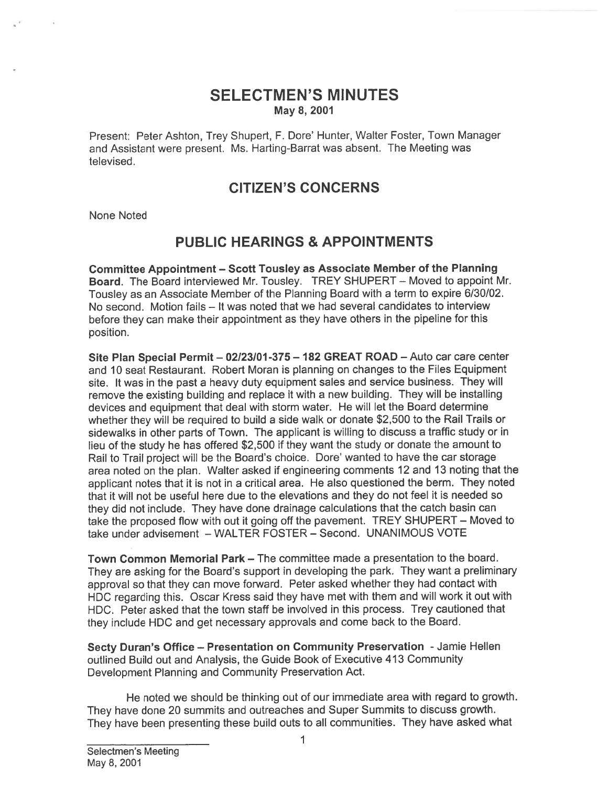### SELECTMEN'S MINUTES May 8, 2001

Present: Peter Ashton, Trey Shupert, F. Dore' Hunter, Walter Foster, Town Manager and Assistant were present. Ms. Harting-Barrat was absent. The Meeting was televised.

## CITIZEN'S CONCERNS

None Noted

## PUBLIC HEARINGS & APPOINTMENTS

Committee Appointment — Scott Tousley as Associate Member of the Planning Board. The Board interviewed Mr. Tousley. TREY SHUPERT — Moved to appoint Mr. Tousley as an Associate Member of the Planning Board with <sup>a</sup> term to expire 6/30/02. No second. Motion fails — It was noted that we had several candidates to interview before they can make their appointment as they have others in the <sup>p</sup>ipeline for this position.

Site Plan Special Permit - 02/23/01-375 - 182 GREAT ROAD - Auto car care center and 10 seat Restaurant. Robert Moran is planning on changes to the Files Equipment site. It was in the pas<sup>t</sup> <sup>a</sup> heavy duty equipment sales and service business. They will remove the existing building and replace it with <sup>a</sup> new building. They will be installing devices and equipment that deal with storm water. He will let the Board determine whether they will be required to build <sup>a</sup> side walk or donate \$2,500 to the Rail Trails or sidewalks in other parts of Town. The applicant is willing to discuss <sup>a</sup> traffic study or in lieu of the study he has offered \$2,500 if they want the study or donate the amount to Rail to Trail project will be the Board's choice. Dore' wanted to have the car storage area noted on the <sup>p</sup>lan. Walter asked if engineering comments <sup>12</sup> and 13 noting that the applicant notes that it is not in <sup>a</sup> critical area. He also questioned the berm. They noted that it will not be useful here due to the elevations and they do not feel it is needed so they did not include. They have done drainage calculations that the catch basin can take the propose<sup>d</sup> flow with out it going off the pavement. TREY SHUPERT — Moved to take under advisement — WALTER FOSTER — Second. UNANIMOUS VOTE

Town Common Memorial Park — The committee made <sup>a</sup> presentation to the board. They are asking for the Board's suppor<sup>t</sup> in developing the park. They want <sup>a</sup> preliminary approva<sup>l</sup> so that they can move forward. Peter asked whether they had contact with HDC regarding this. Oscar Kress said they have met with them and will work it out with HDC. Peter asked that the town staff be involved in this process. Trey cautioned that they include HDC and ge<sup>t</sup> necessary approvals and come back to the Board.

Secty Duran's Office - Presentation on Community Preservation - Jamie Hellen outlined Build out and Analysis, the Guide Book of Executive 413 Community Development Planning and Community Preservation Act.

He noted we should be thinking out of our immediate area with regard to growth. They have done <sup>20</sup> summits and outreaches and Super Summits to discuss growth. They have been presenting these build outs to all communities. They have asked what

I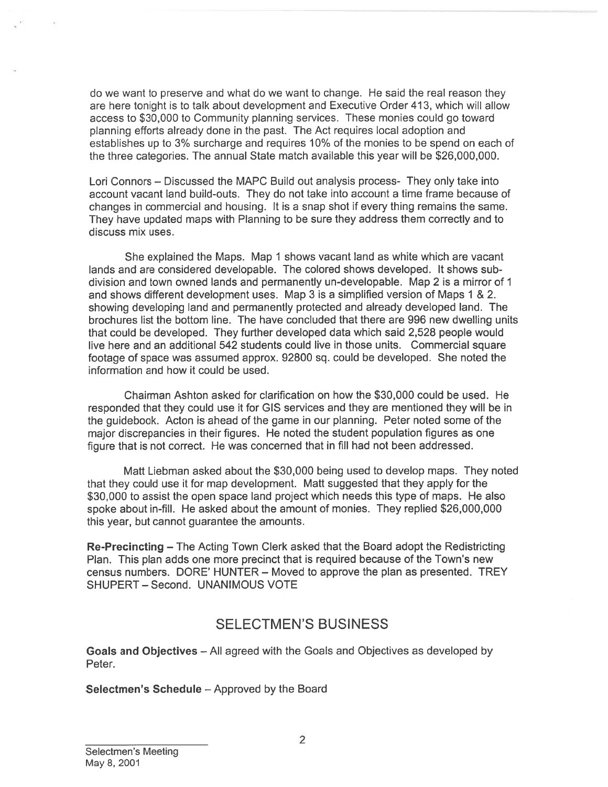do we want to preserve and what do we want to change. He said the real reason they are here tonight is to talk about development and Executive Order 413, which will allow access to \$30,000 to Community planning services. These monies could go toward <sup>p</sup>lanning efforts already done in the past. The Act requires local adoption and establishes up to 3% surcharge and requires 10% of the monies to be spend on each of the three categories. The annual State match available this year will be \$26,000,000.

Lori Connors — Discussed the MAPC Build out analysis process- They only take into account vacant land build-outs. They do not take into account <sup>a</sup> time frame because of changes in commercial and housing. It is <sup>a</sup> snap shot if every thing remains the same. They have updated maps with Planning to be sure they address them correctly and to discuss mix uses.

She explained the Maps. Map 1 shows vacant land as white which are vacant lands and are considered developable. The colored shows developed. It shows sub division and town owned lands and permanently un-developable. Map 2 is <sup>a</sup> mirror of 1 and shows different development uses. Map 3 is <sup>a</sup> simplified version of Maps 1 & 2. showing developing land and permanently protected and already developed land. The brochures list the bottom line. The have concluded that there are 996 new dwelling units that could be developed. They further developed data which said 2,528 people would live here and an additional 542 students could live in those units. Commercial square footage of space was assumed approx. 92800 sq. could be developed. She noted the information and how it could be used. do we want to preserve and what do we want to ore a here tonight is to talk about development and planning errots and 30,000 to Community planning errots and policies and planning errots already done in the past. The Accou

Chairman Ashton asked for clarification on how the \$30,000 could be used. He responded that they could use it for GIS services and they are mentioned they will be in the guidebook. Acton is ahead of the game in our planning. Peter noted some of the major discrepancies in their figures. He noted the student population figures as one figure that is not correct. He was concerned that in fill had not been addressed.

Matt Liebman asked about the \$30,000 being used to develop maps. They noted that they could use it for map development. Matt suggested that they apply for the \$30,000 to assist the open space land project which needs this type of maps. He also spoke about in-fill. He asked about the amount of monies. They replied \$26,000,000 this year, but cannot guarantee the amounts.

Re-Precincting — The Acting Town Clerk asked that the Board adopt the Redistricting Plan. This plan adds one more precinct that is required because of the Town's new census numbers. DORE' HUNTER — Moved to approve the plan as presented. TREY SHUPERT — Second. UNANIMOUS VOTE

## SELECTMEN'S BUSINESS

Goals and Objectives — All agreed with the Goals and Objectives as developed by Peter.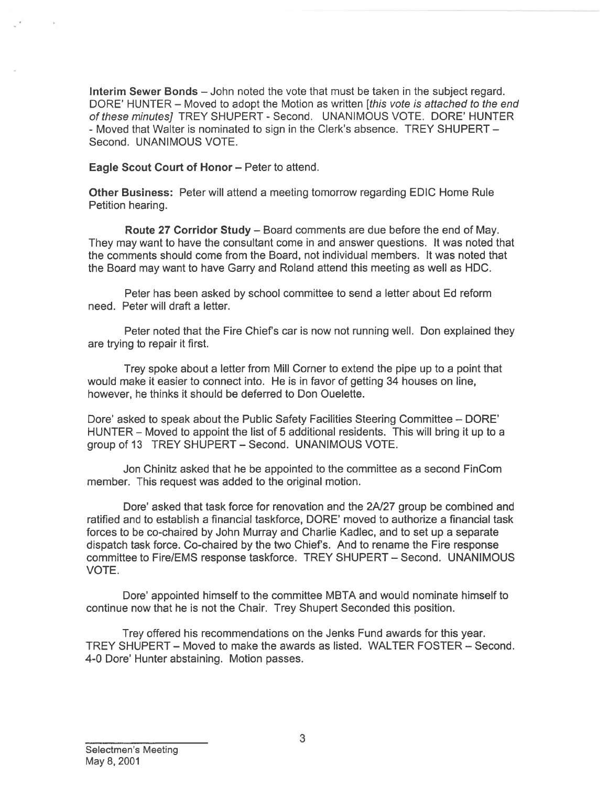Interim Sewer Bonds — John noted the vote that must be taken in the subject regard. DORE' HUNTER - Moved to adopt the Motion as written [this vote is attached to the end of these minutes] TREY SHUPERT - Second. UNANIMOUS VOTE. DORE' HUNTER - Moved that Walter is nominated to sign in the Clerk's absence. TREY SHUPERT — Second. UNANIMOUS VOTE.

Eagle Scout Court of Honor — Peter to attend.

Other Business: Peter will attend <sup>a</sup> meeting tomorrow regarding EDIC Home Rule Petition hearing.

Route 27 Corridor Study — Board comments are due before the end of May. They may want to have the consultant come in and answer questions. It was noted that the comments should come from the Board, not individual members. It was noted that the Board may want to have Garry and Roland attend this meeting as well as HDC.

Peter has been asked by school committee to send <sup>a</sup> letter about Ed reform need. Peter will draft <sup>a</sup> letter.

Peter noted that the Fire Chief's car is now not running well. Don explained they are trying to repair it first.

Trey spoke about <sup>a</sup> letter from Mill Corner to extend the pipe up to <sup>a</sup> point that would make it easier to connect into. He is in favor of getting 34 houses on line, however, he thinks it should be deferred to Don Ouelette.

Dore' asked to speak about the Public Safety Facilities Steering Committee — DORE' HUNTER — Moved to appoint the list of 5 additional residents. This will bring it up to <sup>a</sup> group of 13 TREY SHUPERT — Second. UNANIMOUS VOTE.

Jon Chinitz asked that he be appointed to the committee as <sup>a</sup> second FinCom member. This reques<sup>t</sup> was added to the original motion.

Dote' asked that task force for renovation and the 2N27 group be combined and ratified and to establish <sup>a</sup> financial taskforce, DORE' moved to authorize <sup>a</sup> financial task forces to be co-chaired by John Murray and Charlie Kadlec, and to set up <sup>a</sup> separate dispatch task force. Co-chaired by the two Chief's. And to rename the Fire response committee to Fire/EMS response taskiorce. TREY SHUPERT — Second. UNANIMOUS VOTE. Interim Sewer Bonds – John noted the vot<br>
Drifter HUNTER – Moved to adopt the Motion<br>
of these minutes/ TREY SHUPERT - Secore<br>
- Moved that Walter is nominated to sign in t<br>
Second. UNANIMOUS VOTE.<br>
Eagle Scout Court of Ho

Dote' appointed himself to the committee MBTA and would nominate himself to continue now that he is not the Chair. Trey Shupert Seconded this position.

Trey offered his recommendations on the Jenks Fund awards for this year. TREY SHUPERT — Moved to make the awards as listed. WALTER FOSTER — Second.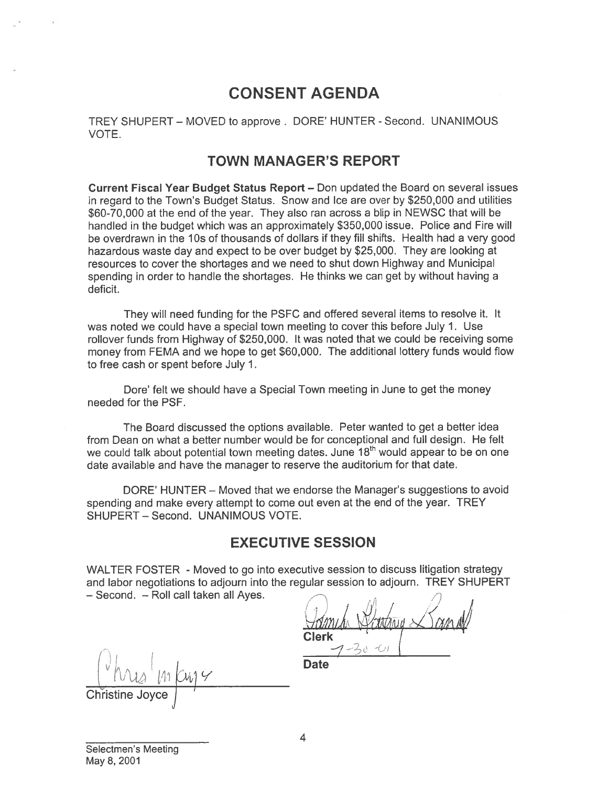# CONSENT AGENDA

TREY SHUPERT — MOVED to approve. DORE' HUNTER - Second. UNANIMOUS VOTE.

### TOWN MANAGER'S REPORT

Current Fiscal Year Budget Status Report — Don updated the Board on several issues in regard to the Town's Budget Status. Snow and Ice are over by \$250,000 and utilities \$60-70,000 at the end of the year. They also ran across <sup>a</sup> blip in NEWSC that will be handled in the budget which was an approximately \$350,000 issue. Police and Fire will be overdrawn in the 10s of thousands of dollars if they fill shifts. Health had a very good hazardous waste day and expec<sup>t</sup> to be over budget by \$25,000. They are looking at resources to cover the shortages and we need to shut down Highway and Municipal spending in order to handle the shortages. He thinks we can ge<sup>t</sup> by without having <sup>a</sup> deficit.

They will need funding for the PSFC and offered several items to resolve it. It was noted we could have <sup>a</sup> special town meeting to cover this before July 1. Use rollover funds from Highway of \$250,000. It was noted that we could be receiving some money from FEMA and we hope to ge<sup>t</sup> \$60,000. The additional lottery funds would flow to free cash or spen<sup>t</sup> before July 1.

Dore' felt we should have <sup>a</sup> Special Town meeting in June to ge<sup>t</sup> the money needed for the PSF.

The Board discussed the options available. Peter wanted to ge<sup>t</sup> <sup>a</sup> better idea from Dean on what <sup>a</sup> better number would be for conceptional and full design. He felt we could talk about potential town meeting dates. June 18<sup>th</sup> would appear to be on one date available and have the manager to reserve the auditorium for that date.

DORE' HUNTER — Moved that we endorse the Manager's suggestions to avoid spending and make every attempt to come out even at the end of the year. TREY SHUPERT — Second. UNANIMOUS VOTE.

## EXECUTIVE SESSION

WALTER FOSTER - Moved to go into executive session to discuss litigation strategy and labor negotiations to adjourn into the regular session to adjourn. TREY SHUPERT — Second. — Roll call taken all Ayes.

//  $m_t$ h *National Land* Clerk  $1 - 7 - 50$ 

 $M_{24}$   $M_{24}$   $M_{24}$ 

Christine Joyce

Selectmen's Meeting May 8, 2001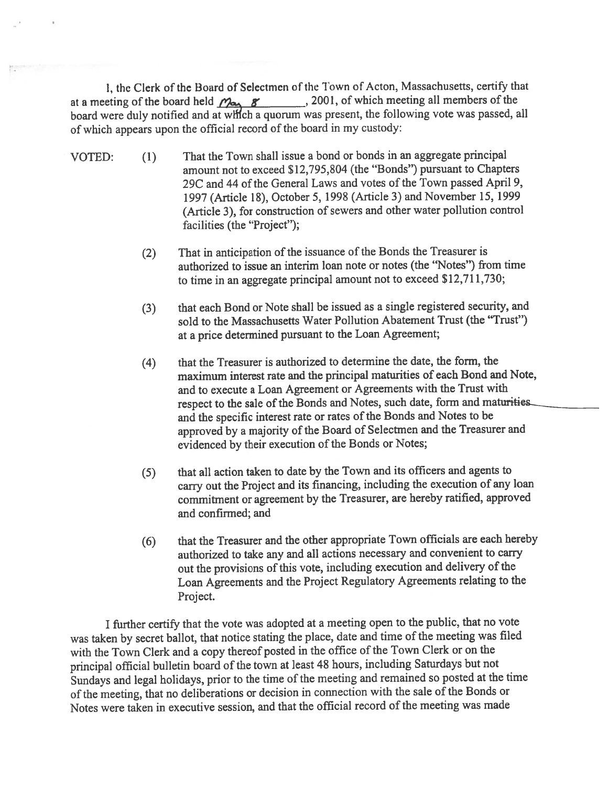I, the Clerk of the Board of Selectmen of the Town of Acton, Massachusetts, certify that at a meeting of the board held  $\mathcal{P}_{\text{max}}$   $\mathcal{B}$  2001, of which meeting all members of the board were duly notified and at which a quorum was present, the following vote was passed, all of which appears upon the official record of the board in my custody:

- VOTED: (1) That the Town shall issue <sup>a</sup> bond or bonds in an aggregate principal amount not to exceed \$12,795,804 (the "Bonds") pursuan<sup>t</sup> to Chapters 29C and 44 of the General Laws and votes of the Town passed April 9, <sup>1997</sup> (Article 18), October 5, 1998 (Article 3) and November 15, <sup>1999</sup> (Article 3), for construction of sewers and other water pollution control facilities (the "Project");
	- (2) That in anticipation of the issuance of the Bonds the Treasurer is authorized to issue an interim loan note or notes (the "Notes") from time to time in an aggregate principal amount not to exceed \$12,711,730;
	- (3) that each Bond or Note shall be issued as <sup>a</sup> single registered security, and sold to the Massachusetts Water Pollution Abatement Trust (the "Trust") at <sup>a</sup> price determined pursuan<sup>t</sup> to the Loan Agreement;
	- (4) that the Treasurer is authorized to determine the date, the form, the maximum interest rate and the principal maturities of each Bond and Note, and to execute <sup>a</sup> Loan Agreement or Agreements with the Trust with respect to the sale of the Bonds and Notes, such date, form and maturities. and the specific interest rate or rates of the Bonds and Notes to be approve<sup>d</sup> by <sup>a</sup> majority of the Board of Selectmen and the Treasurer and evidenced by their execution of the Bonds or Notes;
	- (5) that all action taken to date by the Town and its officers and agents to carry out the Project and its financing, including the execution of any loan commitment or agreemen<sup>t</sup> by the Treasurer, are hereby ratified, approve<sup>d</sup> and confirmed; and
	- (6) that the Treasurer and the other appropriate Town officials are each hereby authorized to take any and all actions necessary and convenient to carry out the provisions of this vote, including execution and delivery of the Loan Agreements and the Project Regulatory Agreements relating to the Project.

<sup>I</sup> further certify that the vote was adopted at <sup>a</sup> meeting open to the public, that no vote was taken by secret ballot, that notice stating the place, date and time of the meeting was filed with the Town Clerk and <sup>a</sup> copy thereof posted in the office of the Town Clerk or on the principal official bulletin board of the town at least <sup>48</sup> hours, including Saturdays but not Sundays and legal holidays, prior to the time of the meeting and remained so posted at the time of the meeting, that no deliberations or decision in connection with the sale of the Bonds or Notes were taken in executive session, and that the official record of the meeting was made